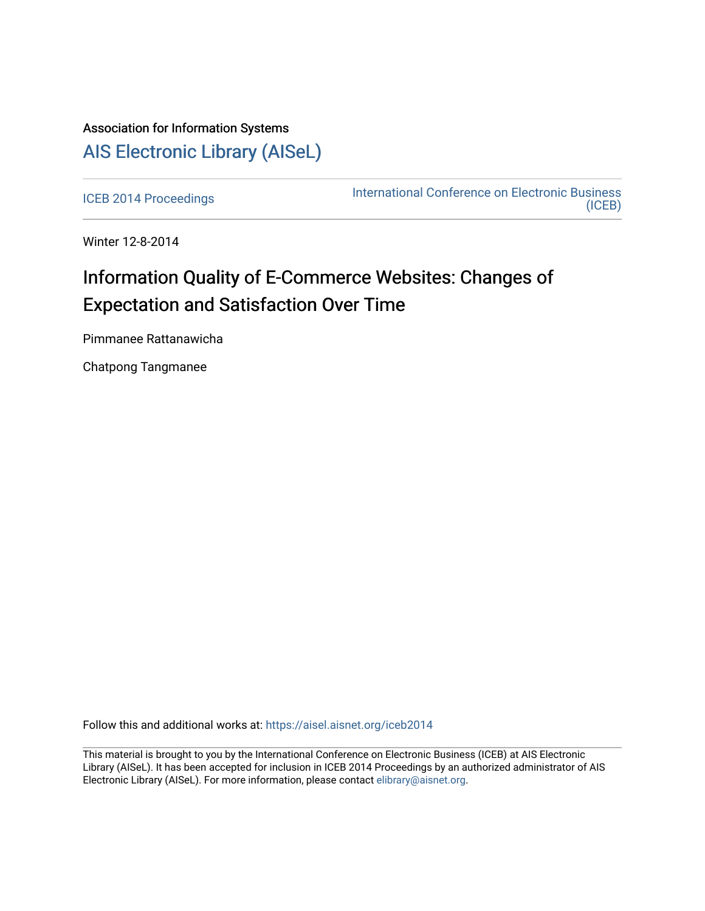# Association for Information Systems [AIS Electronic Library \(AISeL\)](https://aisel.aisnet.org/)

[ICEB 2014 Proceedings](https://aisel.aisnet.org/iceb2014) **International Conference on Electronic Business** [\(ICEB\)](https://aisel.aisnet.org/iceb) 

Winter 12-8-2014

# Information Quality of E-Commerce Websites: Changes of Expectation and Satisfaction Over Time

Pimmanee Rattanawicha

Chatpong Tangmanee

Follow this and additional works at: [https://aisel.aisnet.org/iceb2014](https://aisel.aisnet.org/iceb2014?utm_source=aisel.aisnet.org%2Ficeb2014%2F35&utm_medium=PDF&utm_campaign=PDFCoverPages)

This material is brought to you by the International Conference on Electronic Business (ICEB) at AIS Electronic Library (AISeL). It has been accepted for inclusion in ICEB 2014 Proceedings by an authorized administrator of AIS Electronic Library (AISeL). For more information, please contact [elibrary@aisnet.org.](mailto:elibrary@aisnet.org%3E)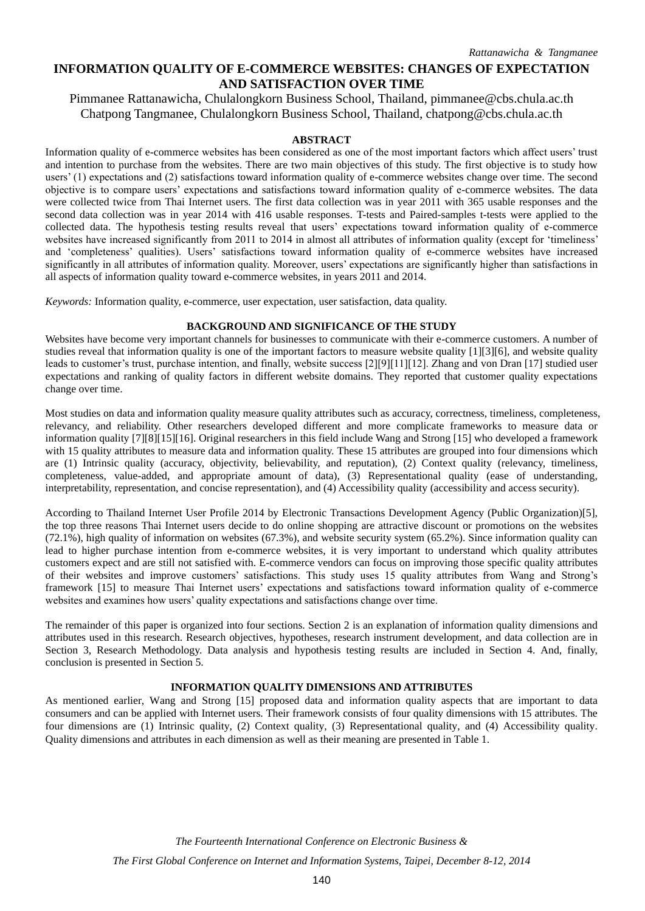# **INFORMATION QUALITY OF E-COMMERCE WEBSITES: CHANGES OF EXPECTATION AND SATISFACTION OVER TIME**

Pimmanee Rattanawicha, Chulalongkorn Business School, Thailand, pimmanee@cbs.chula.ac.th Chatpong Tangmanee, Chulalongkorn Business School, Thailand, chatpong@cbs.chula.ac.th

# **ABSTRACT**

Information quality of e-commerce websites has been considered as one of the most important factors which affect users' trust and intention to purchase from the websites. There are two main objectives of this study. The first objective is to study how users' (1) expectations and (2) satisfactions toward information quality of e-commerce websites change over time. The second objective is to compare users' expectations and satisfactions toward information quality of e-commerce websites. The data were collected twice from Thai Internet users. The first data collection was in year 2011 with 365 usable responses and the second data collection was in year 2014 with 416 usable responses. T-tests and Paired-samples t-tests were applied to the collected data. The hypothesis testing results reveal that users' expectations toward information quality of e-commerce websites have increased significantly from 2011 to 2014 in almost all attributes of information quality (except for 'timeliness' and 'completeness' qualities). Users' satisfactions toward information quality of e-commerce websites have increased significantly in all attributes of information quality. Moreover, users' expectations are significantly higher than satisfactions in all aspects of information quality toward e-commerce websites, in years 2011 and 2014.

*Keywords:* Information quality, e-commerce, user expectation, user satisfaction, data quality.

# **BACKGROUND AND SIGNIFICANCE OF THE STUDY**

Websites have become very important channels for businesses to communicate with their e-commerce customers. A number of studies reveal that information quality is one of the important factors to measure website quality [1][3][6], and website quality leads to customer's trust, purchase intention, and finally, website success [2][9][11][12]. Zhang and von Dran [17] studied user expectations and ranking of quality factors in different website domains. They reported that customer quality expectations change over time.

Most studies on data and information quality measure quality attributes such as accuracy, correctness, timeliness, completeness, relevancy, and reliability. Other researchers developed different and more complicate frameworks to measure data or information quality [7][8][15][16]. Original researchers in this field include Wang and Strong [15] who developed a framework with 15 quality attributes to measure data and information quality. These 15 attributes are grouped into four dimensions which are (1) Intrinsic quality (accuracy, objectivity, believability, and reputation), (2) Context quality (relevancy, timeliness, completeness, value-added, and appropriate amount of data), (3) Representational quality (ease of understanding, interpretability, representation, and concise representation), and (4) Accessibility quality (accessibility and access security).

According to Thailand Internet User Profile 2014 by Electronic Transactions Development Agency (Public Organization)[5], the top three reasons Thai Internet users decide to do online shopping are attractive discount or promotions on the websites (72.1%), high quality of information on websites (67.3%), and website security system (65.2%). Since information quality can lead to higher purchase intention from e-commerce websites, it is very important to understand which quality attributes customers expect and are still not satisfied with. E-commerce vendors can focus on improving those specific quality attributes of their websites and improve customers' satisfactions. This study uses 15 quality attributes from Wang and Strong's framework [15] to measure Thai Internet users' expectations and satisfactions toward information quality of e-commerce websites and examines how users' quality expectations and satisfactions change over time.

The remainder of this paper is organized into four sections. Section 2 is an explanation of information quality dimensions and attributes used in this research. Research objectives, hypotheses, research instrument development, and data collection are in Section 3, Research Methodology. Data analysis and hypothesis testing results are included in Section 4. And, finally, conclusion is presented in Section 5.

# **INFORMATION QUALITY DIMENSIONS AND ATTRIBUTES**

As mentioned earlier, Wang and Strong [15] proposed data and information quality aspects that are important to data consumers and can be applied with Internet users. Their framework consists of four quality dimensions with 15 attributes. The four dimensions are (1) Intrinsic quality, (2) Context quality, (3) Representational quality, and (4) Accessibility quality. Quality dimensions and attributes in each dimension as well as their meaning are presented in Table 1.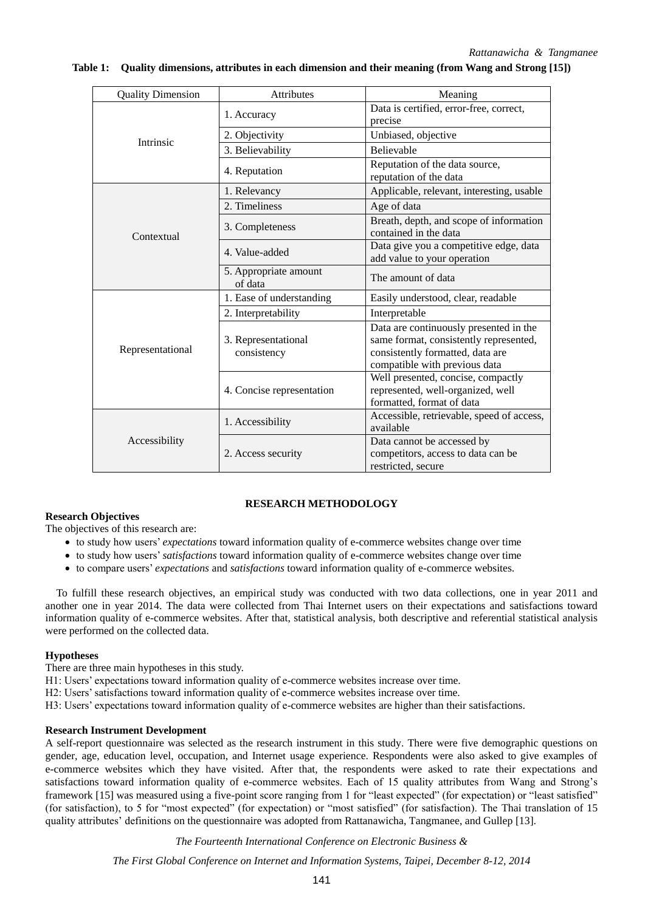| <b>Quality Dimension</b> | <b>Attributes</b>                  | Meaning                                                                                                                                               |  |  |  |
|--------------------------|------------------------------------|-------------------------------------------------------------------------------------------------------------------------------------------------------|--|--|--|
|                          | 1. Accuracy                        | Data is certified, error-free, correct,<br>precise                                                                                                    |  |  |  |
| Intrinsic                | 2. Objectivity                     | Unbiased, objective                                                                                                                                   |  |  |  |
|                          | 3. Believability                   | Believable                                                                                                                                            |  |  |  |
|                          | 4. Reputation                      | Reputation of the data source,<br>reputation of the data                                                                                              |  |  |  |
|                          | 1. Relevancy                       | Applicable, relevant, interesting, usable                                                                                                             |  |  |  |
|                          | 2. Timeliness                      | Age of data                                                                                                                                           |  |  |  |
| Contextual               | 3. Completeness                    | Breath, depth, and scope of information<br>contained in the data                                                                                      |  |  |  |
|                          | 4. Value-added                     | Data give you a competitive edge, data<br>add value to your operation                                                                                 |  |  |  |
|                          | 5. Appropriate amount<br>of data   | The amount of data                                                                                                                                    |  |  |  |
|                          | 1. Ease of understanding           | Easily understood, clear, readable                                                                                                                    |  |  |  |
|                          | 2. Interpretability                | Interpretable                                                                                                                                         |  |  |  |
| Representational         | 3. Representational<br>consistency | Data are continuously presented in the<br>same format, consistently represented,<br>consistently formatted, data are<br>compatible with previous data |  |  |  |
|                          | 4. Concise representation          | Well presented, concise, compactly<br>represented, well-organized, well<br>formatted, format of data                                                  |  |  |  |
|                          | 1. Accessibility                   | Accessible, retrievable, speed of access,<br>available                                                                                                |  |  |  |
| Accessibility            | 2. Access security                 | Data cannot be accessed by<br>competitors, access to data can be<br>restricted, secure                                                                |  |  |  |

### **Table 1: Quality dimensions, attributes in each dimension and their meaning (from Wang and Strong [15])**

# **RESEARCH METHODOLOGY**

# **Research Objectives**

The objectives of this research are:

- to study how users' *expectations* toward information quality of e-commerce websites change over time
- to study how users' *satisfactions* toward information quality of e-commerce websites change over time
- to compare users' *expectations* and *satisfactions* toward information quality of e-commerce websites.

To fulfill these research objectives, an empirical study was conducted with two data collections, one in year 2011 and another one in year 2014. The data were collected from Thai Internet users on their expectations and satisfactions toward information quality of e-commerce websites. After that, statistical analysis, both descriptive and referential statistical analysis were performed on the collected data.

### **Hypotheses**

There are three main hypotheses in this study.

- H1: Users' expectations toward information quality of e-commerce websites increase over time.
- H2: Users' satisfactions toward information quality of e-commerce websites increase over time.
- H3: Users' expectations toward information quality of e-commerce websites are higher than their satisfactions.

## **Research Instrument Development**

A self-report questionnaire was selected as the research instrument in this study. There were five demographic questions on gender, age, education level, occupation, and Internet usage experience. Respondents were also asked to give examples of e-commerce websites which they have visited. After that, the respondents were asked to rate their expectations and satisfactions toward information quality of e-commerce websites. Each of 15 quality attributes from Wang and Strong's framework [15] was measured using a five-point score ranging from 1 for "least expected" (for expectation) or "least satisfied" (for satisfaction), to 5 for "most expected" (for expectation) or "most satisfied" (for satisfaction). The Thai translation of 15 quality attributes' definitions on the questionnaire was adopted from Rattanawicha, Tangmanee, and Gullep [13].

*The Fourteenth International Conference on Electronic Business &*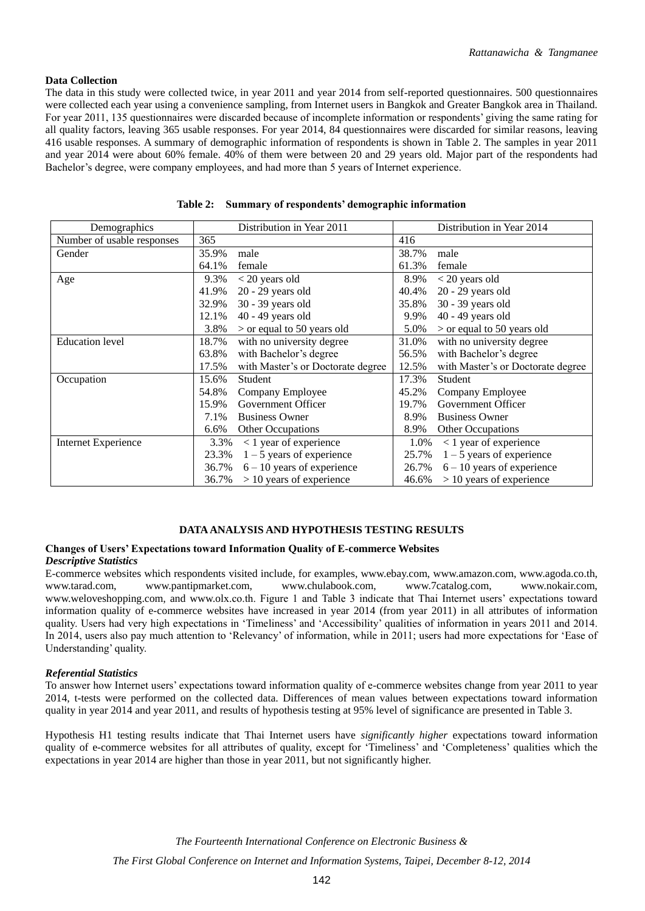# **Data Collection**

The data in this study were collected twice, in year 2011 and year 2014 from self-reported questionnaires. 500 questionnaires were collected each year using a convenience sampling, from Internet users in Bangkok and Greater Bangkok area in Thailand. For year 2011, 135 questionnaires were discarded because of incomplete information or respondents' giving the same rating for all quality factors, leaving 365 usable responses. For year 2014, 84 questionnaires were discarded for similar reasons, leaving 416 usable responses. A summary of demographic information of respondents is shown in Table 2. The samples in year 2011 and year 2014 were about 60% female. 40% of them were between 20 and 29 years old. Major part of the respondents had Bachelor's degree, were company employees, and had more than 5 years of Internet experience.

| Demographics               |       | Distribution in Year 2011         |       | Distribution in Year 2014         |
|----------------------------|-------|-----------------------------------|-------|-----------------------------------|
| Number of usable responses | 365   |                                   | 416   |                                   |
| Gender                     | 35.9% | male                              | 38.7% | male                              |
|                            | 64.1% | female                            | 61.3% | female                            |
| Age                        | 9.3%  | $< 20$ years old                  | 8.9%  | $<$ 20 years old                  |
|                            | 41.9% | $20 - 29$ years old               | 40.4% | $20 - 29$ years old               |
|                            | 32.9% | 30 - 39 years old                 | 35.8% | 30 - 39 years old                 |
|                            | 12.1% | 40 - 49 years old                 | 9.9%  | 40 - 49 years old                 |
|                            | 3.8%  | $>$ or equal to 50 years old      | 5.0%  | $>$ or equal to 50 years old      |
| <b>Education</b> level     | 18.7% | with no university degree         | 31.0% | with no university degree         |
|                            | 63.8% | with Bachelor's degree            | 56.5% | with Bachelor's degree            |
|                            | 17.5% | with Master's or Doctorate degree | 12.5% | with Master's or Doctorate degree |
| Occupation                 | 15.6% | Student                           | 17.3% | Student                           |
|                            | 54.8% | Company Employee                  | 45.2% | Company Employee                  |
|                            | 15.9% | Government Officer                | 19.7% | Government Officer                |
|                            | 7.1%  | <b>Business Owner</b>             | 8.9%  | <b>Business Owner</b>             |
|                            | 6.6%  | Other Occupations                 | 8.9%  | Other Occupations                 |
| <b>Internet Experience</b> | 3.3%  | $<$ 1 year of experience          | 1.0%  | $<$ 1 year of experience          |
|                            | 23.3% | $1 - 5$ years of experience       | 25.7% | $1 - 5$ years of experience       |
|                            | 36.7% | $6 - 10$ years of experience      | 26.7% | $6 - 10$ years of experience      |
|                            | 36.7% | $> 10$ years of experience        | 46.6% | $> 10$ years of experience        |

|  |  | Table 2: Summary of respondents' demographic information |  |  |
|--|--|----------------------------------------------------------|--|--|
|--|--|----------------------------------------------------------|--|--|

# **DATA ANALYSIS AND HYPOTHESIS TESTING RESULTS**

## **Changes of Users' Expectations toward Information Quality of E-commerce Websites** *Descriptive Statistics*

E-commerce websites which respondents visited include, for examples, www.ebay.com, www.amazon.com, www.agoda.co.th, www.tarad.com, www.pantipmarket.com, www.chulabook.com, www.7catalog.com, www.nokair.com, www.weloveshopping.com, and www.olx.co.th. Figure 1 and Table 3 indicate that Thai Internet users' expectations toward information quality of e-commerce websites have increased in year 2014 (from year 2011) in all attributes of information quality. Users had very high expectations in 'Timeliness' and 'Accessibility' qualities of information in years 2011 and 2014. In 2014, users also pay much attention to 'Relevancy' of information, while in 2011; users had more expectations for 'Ease of Understanding' quality.

# *Referential Statistics*

To answer how Internet users' expectations toward information quality of e-commerce websites change from year 2011 to year 2014, t-tests were performed on the collected data. Differences of mean values between expectations toward information quality in year 2014 and year 2011, and results of hypothesis testing at 95% level of significance are presented in Table 3.

Hypothesis H1 testing results indicate that Thai Internet users have *significantly higher* expectations toward information quality of e-commerce websites for all attributes of quality, except for 'Timeliness' and 'Completeness' qualities which the expectations in year 2014 are higher than those in year 2011, but not significantly higher.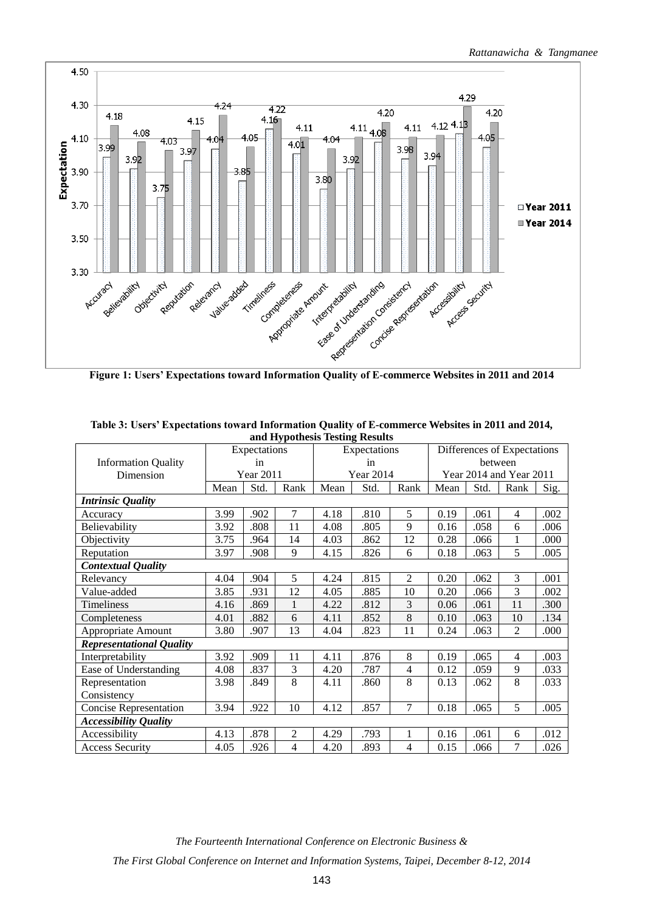

| and Hypothesis Testing Results  |      |                  |                |              |                  |      |                             |      |                          |      |
|---------------------------------|------|------------------|----------------|--------------|------------------|------|-----------------------------|------|--------------------------|------|
|                                 |      | Expectations     |                | Expectations |                  |      | Differences of Expectations |      |                          |      |
| <b>Information Quality</b>      | in   |                  |                | in           |                  |      | between                     |      |                          |      |
| Dimension                       |      | <b>Year 2011</b> |                |              | <b>Year 2014</b> |      |                             |      | Year 2014 and Year 2011  |      |
|                                 | Mean | Std.             | Rank           | Mean         | Std.             | Rank | Mean                        | Std. | Rank                     | Sig. |
| <b>Intrinsic Quality</b>        |      |                  |                |              |                  |      |                             |      |                          |      |
| Accuracy                        | 3.99 | .902             | $\tau$         | 4.18         | .810             | 5    | 0.19                        | .061 | $\overline{\mathcal{L}}$ | .002 |
| Believability                   | 3.92 | .808             | 11             | 4.08         | .805             | 9    | 0.16                        | .058 | 6                        | .006 |
| Objectivity                     | 3.75 | .964             | 14             | 4.03         | .862             | 12   | 0.28                        | .066 | 1                        | .000 |
| Reputation                      | 3.97 | .908             | 9              | 4.15         | .826             | 6    | 0.18                        | .063 | 5                        | .005 |
| <b>Contextual Quality</b>       |      |                  |                |              |                  |      |                             |      |                          |      |
| Relevancy                       | 4.04 | .904             | 5              | 4.24         | .815             | 2    | 0.20                        | .062 | 3                        | .001 |
| Value-added                     | 3.85 | .931             | 12             | 4.05         | .885             | 10   | 0.20                        | .066 | 3                        | .002 |
| <b>Timeliness</b>               | 4.16 | .869             | $\mathbf{1}$   | 4.22         | .812             | 3    | 0.06                        | .061 | 11                       | .300 |
| Completeness                    | 4.01 | .882             | 6              | 4.11         | .852             | 8    | 0.10                        | .063 | 10                       | .134 |
| Appropriate Amount              | 3.80 | .907             | 13             | 4.04         | .823             | 11   | 0.24                        | .063 | $\overline{2}$           | .000 |
| <b>Representational Quality</b> |      |                  |                |              |                  |      |                             |      |                          |      |
| Interpretability                | 3.92 | .909             | 11             | 4.11         | .876             | 8    | 0.19                        | .065 | $\overline{4}$           | .003 |
| Ease of Understanding           | 4.08 | .837             | 3              | 4.20         | .787             | 4    | 0.12                        | .059 | 9                        | .033 |
| Representation                  | 3.98 | .849             | 8              | 4.11         | .860             | 8    | 0.13                        | .062 | 8                        | .033 |
| Consistency                     |      |                  |                |              |                  |      |                             |      |                          |      |
| <b>Concise Representation</b>   | 3.94 | .922             | 10             | 4.12         | .857             | 7    | 0.18                        | .065 | 5                        | .005 |
| <b>Accessibility Quality</b>    |      |                  |                |              |                  |      |                             |      |                          |      |
| Accessibility                   | 4.13 | .878             | $\overline{2}$ | 4.29         | .793             | 1    | 0.16                        | .061 | 6                        | .012 |
| <b>Access Security</b>          | 4.05 | .926             | 4              | 4.20         | .893             | 4    | 0.15                        | .066 | 7                        | .026 |

**Table 3: Users' Expectations toward Information Quality of E-commerce Websites in 2011 and 2014,** 

*The Fourteenth International Conference on Electronic Business &*

*The First Global Conference on Internet and Information Systems, Taipei, December 8-12, 2014*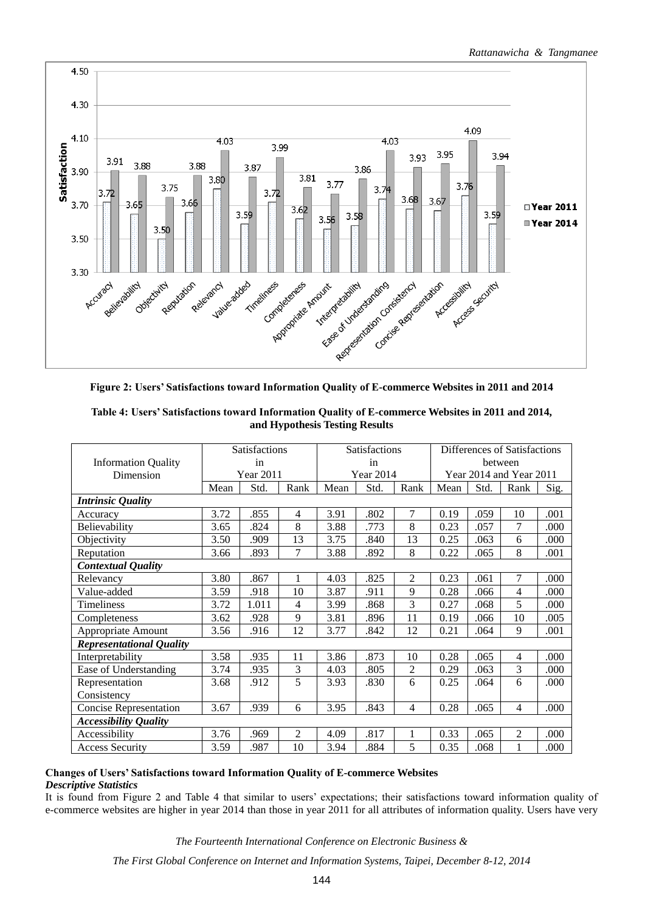

| Table 4: Users' Satisfactions toward Information Quality of E-commerce Websites in 2011 and 2014, |
|---------------------------------------------------------------------------------------------------|
| and Hypothesis Testing Results                                                                    |

|                                 | <b>Satisfactions</b> |       |                | <b>Satisfactions</b> |                  |                | Differences of Satisfactions |      |                         |      |
|---------------------------------|----------------------|-------|----------------|----------------------|------------------|----------------|------------------------------|------|-------------------------|------|
| <b>Information Quality</b>      |                      | in    |                | in                   |                  |                | between                      |      |                         |      |
| Dimension                       | Year 2011            |       |                |                      | <b>Year 2014</b> |                |                              |      | Year 2014 and Year 2011 |      |
|                                 | Mean                 | Std.  | Rank           | Mean                 | Std.             | Rank           | Mean                         | Std. | Rank                    | Sig. |
| <b>Intrinsic Quality</b>        |                      |       |                |                      |                  |                |                              |      |                         |      |
| Accuracy                        | 3.72                 | .855  | $\overline{4}$ | 3.91                 | .802             | 7              | 0.19                         | .059 | 10                      | .001 |
| Believability                   | 3.65                 | .824  | 8              | 3.88                 | .773             | 8              | 0.23                         | .057 | $\tau$                  | .000 |
| Objectivity                     | 3.50                 | .909  | 13             | 3.75                 | .840             | 13             | 0.25                         | .063 | 6                       | .000 |
| Reputation                      | 3.66                 | .893  | $\tau$         | 3.88                 | .892             | 8              | 0.22                         | .065 | 8                       | .001 |
| <b>Contextual Quality</b>       |                      |       |                |                      |                  |                |                              |      |                         |      |
| Relevancy                       | 3.80                 | .867  | 1              | 4.03                 | .825             | $\overline{2}$ | 0.23                         | .061 | $\tau$                  | .000 |
| Value-added                     | 3.59                 | .918  | 10             | 3.87                 | .911             | 9              | 0.28                         | .066 | $\overline{4}$          | .000 |
| Timeliness                      | 3.72                 | 1.011 | 4              | 3.99                 | .868             | 3              | 0.27                         | .068 | 5                       | .000 |
| Completeness                    | 3.62                 | .928  | 9              | 3.81                 | .896             | 11             | 0.19                         | .066 | 10                      | .005 |
| Appropriate Amount              | 3.56                 | .916  | 12             | 3.77                 | .842             | 12             | 0.21                         | .064 | 9                       | .001 |
| <b>Representational Quality</b> |                      |       |                |                      |                  |                |                              |      |                         |      |
| Interpretability                | 3.58                 | .935  | 11             | 3.86                 | .873             | 10             | 0.28                         | .065 | $\overline{4}$          | .000 |
| Ease of Understanding           | 3.74                 | .935  | 3              | 4.03                 | .805             | $\overline{2}$ | 0.29                         | .063 | 3                       | .000 |
| Representation                  | 3.68                 | .912  | 5              | 3.93                 | .830             | 6              | 0.25                         | .064 | 6                       | .000 |
| Consistency                     |                      |       |                |                      |                  |                |                              |      |                         |      |
| <b>Concise Representation</b>   | 3.67                 | .939  | 6              | 3.95                 | .843             | 4              | 0.28                         | .065 | $\overline{4}$          | .000 |
| <b>Accessibility Quality</b>    |                      |       |                |                      |                  |                |                              |      |                         |      |
| Accessibility                   | 3.76                 | .969  | $\overline{2}$ | 4.09                 | .817             |                | 0.33                         | .065 | 2                       | .000 |
| <b>Access Security</b>          | 3.59                 | .987  | 10             | 3.94                 | .884             | 5              | 0.35                         | .068 | 1                       | .000 |

# **Changes of Users' Satisfactions toward Information Quality of E-commerce Websites**

# *Descriptive Statistics*

It is found from Figure 2 and Table 4 that similar to users' expectations; their satisfactions toward information quality of e-commerce websites are higher in year 2014 than those in year 2011 for all attributes of information quality. Users have very

*The Fourteenth International Conference on Electronic Business &*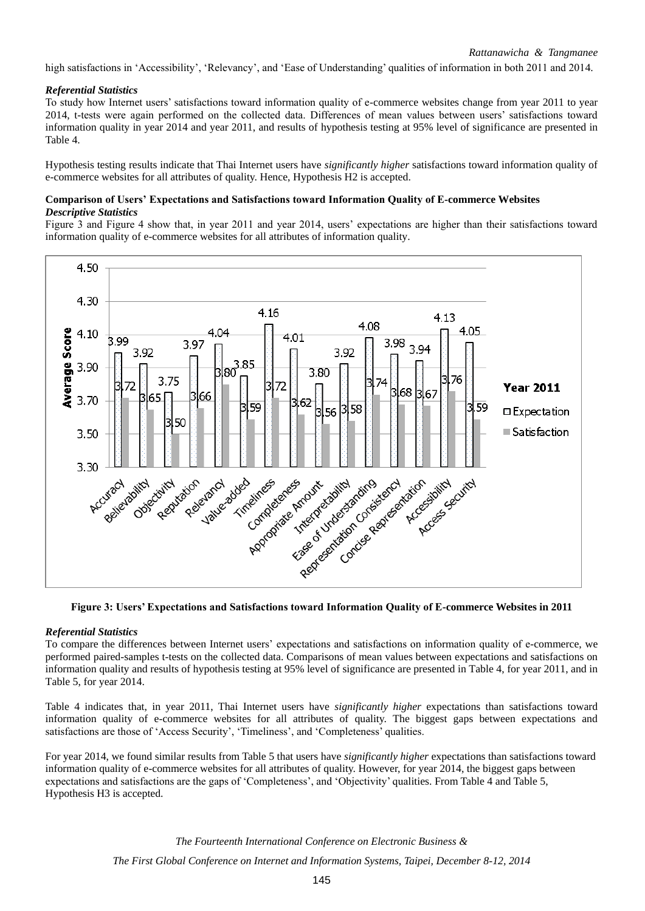high satisfactions in 'Accessibility', 'Relevancy', and 'Ease of Understanding' qualities of information in both 2011 and 2014.

# *Referential Statistics*

To study how Internet users' satisfactions toward information quality of e-commerce websites change from year 2011 to year 2014, t-tests were again performed on the collected data. Differences of mean values between users' satisfactions toward information quality in year 2014 and year 2011, and results of hypothesis testing at 95% level of significance are presented in Table 4.

Hypothesis testing results indicate that Thai Internet users have *significantly higher* satisfactions toward information quality of e-commerce websites for all attributes of quality. Hence, Hypothesis H2 is accepted.

# **Comparison of Users' Expectations and Satisfactions toward Information Quality of E-commerce Websites** *Descriptive Statistics*

Figure 3 and Figure 4 show that, in year 2011 and year 2014, users' expectations are higher than their satisfactions toward information quality of e-commerce websites for all attributes of information quality.



# *Referential Statistics*

To compare the differences between Internet users' expectations and satisfactions on information quality of e-commerce, we performed paired-samples t-tests on the collected data. Comparisons of mean values between expectations and satisfactions on information quality and results of hypothesis testing at 95% level of significance are presented in Table 4, for year 2011, and in Table 5, for year 2014.

Table 4 indicates that, in year 2011, Thai Internet users have *significantly higher* expectations than satisfactions toward information quality of e-commerce websites for all attributes of quality. The biggest gaps between expectations and satisfactions are those of 'Access Security', 'Timeliness', and 'Completeness' qualities.

For year 2014, we found similar results from Table 5 that users have *significantly higher* expectations than satisfactions toward information quality of e-commerce websites for all attributes of quality. However, for year 2014, the biggest gaps between expectations and satisfactions are the gaps of 'Completeness', and 'Objectivity' qualities. From Table 4 and Table 5, Hypothesis H3 is accepted.

> *The Fourteenth International Conference on Electronic Business & The First Global Conference on Internet and Information Systems, Taipei, December 8-12, 2014*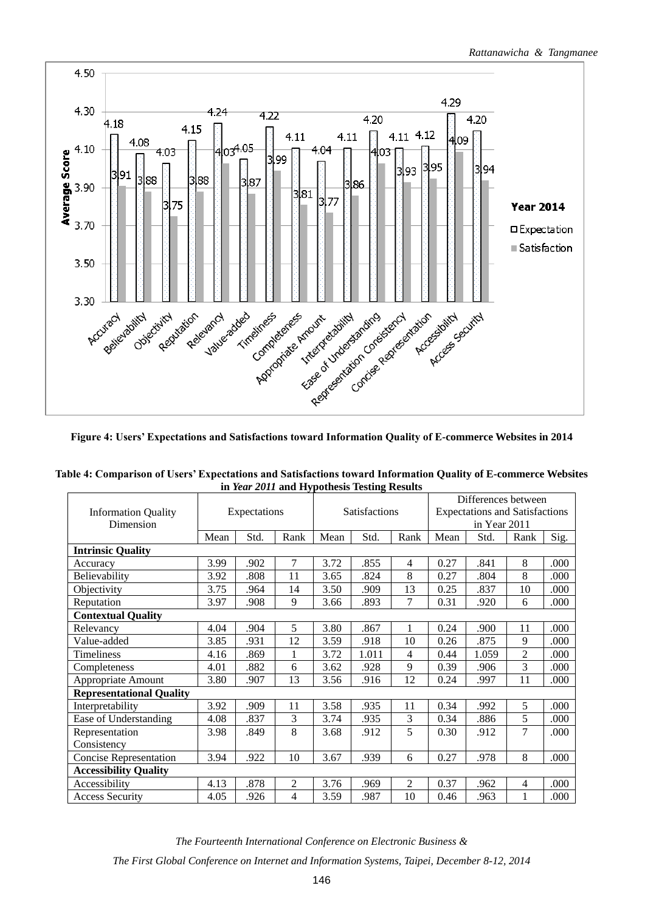

**Table 4: Comparison of Users' Expectations and Satisfactions toward Information Quality of E-commerce Websites in** *Year 2011* **and Hypothesis Testing Results**

|                                 |      |              |                |                      |       |                | Differences between                                   |       |                |      |
|---------------------------------|------|--------------|----------------|----------------------|-------|----------------|-------------------------------------------------------|-------|----------------|------|
| <b>Information Quality</b>      |      | Expectations |                | <b>Satisfactions</b> |       |                | <b>Expectations and Satisfactions</b><br>in Year 2011 |       |                |      |
| Dimension                       |      |              |                |                      |       |                |                                                       |       |                |      |
| <b>Intrinsic Quality</b>        | Mean | Std.         | Rank           | Mean                 | Std.  | Rank           | Mean                                                  | Std.  | Rank           | Sig. |
| Accuracy                        | 3.99 | .902         | 7              | 3.72                 | .855  | $\overline{4}$ | 0.27                                                  | .841  | 8              | .000 |
| Believability                   | 3.92 | .808         | 11             | 3.65                 | .824  | 8              | 0.27                                                  | .804  | 8              | .000 |
| Objectivity                     | 3.75 | .964         | 14             | 3.50                 | .909  | 13             | 0.25                                                  | .837  | 10             | .000 |
| Reputation                      | 3.97 | .908         | 9              | 3.66                 | .893  | 7              | 0.31                                                  | .920  | 6              | .000 |
| <b>Contextual Quality</b>       |      |              |                |                      |       |                |                                                       |       |                |      |
| Relevancy                       | 4.04 | .904         | 5              | 3.80                 | .867  | 1              | 0.24                                                  | .900  | 11             | .000 |
| Value-added                     | 3.85 | .931         | 12             | 3.59                 | .918  | 10             | 0.26                                                  | .875  | 9              | .000 |
| Timeliness                      | 4.16 | .869         | 1              | 3.72                 | 1.011 | 4              | 0.44                                                  | 1.059 | $\overline{2}$ | .000 |
| Completeness                    | 4.01 | .882         | 6              | 3.62                 | .928  | 9              | 0.39                                                  | .906  | 3              | .000 |
| Appropriate Amount              | 3.80 | .907         | 13             | 3.56                 | .916  | 12             | 0.24                                                  | .997  | 11             | .000 |
| <b>Representational Quality</b> |      |              |                |                      |       |                |                                                       |       |                |      |
| Interpretability                | 3.92 | .909         | 11             | 3.58                 | .935  | 11             | 0.34                                                  | .992  | 5              | .000 |
| Ease of Understanding           | 4.08 | .837         | 3              | 3.74                 | .935  | 3              | 0.34                                                  | .886  | 5              | .000 |
| Representation                  | 3.98 | .849         | 8              | 3.68                 | .912  | 5              | 0.30                                                  | .912  | 7              | .000 |
| Consistency                     |      |              |                |                      |       |                |                                                       |       |                |      |
| <b>Concise Representation</b>   | 3.94 | .922         | 10             | 3.67                 | .939  | 6              | 0.27                                                  | .978  | 8              | .000 |
| <b>Accessibility Quality</b>    |      |              |                |                      |       |                |                                                       |       |                |      |
| Accessibility                   | 4.13 | .878         | $\overline{2}$ | 3.76                 | .969  | $\overline{2}$ | 0.37                                                  | .962  | 4              | .000 |
| <b>Access Security</b>          | 4.05 | .926         | 4              | 3.59                 | .987  | 10             | 0.46                                                  | .963  |                | .000 |

*The Fourteenth International Conference on Electronic Business &*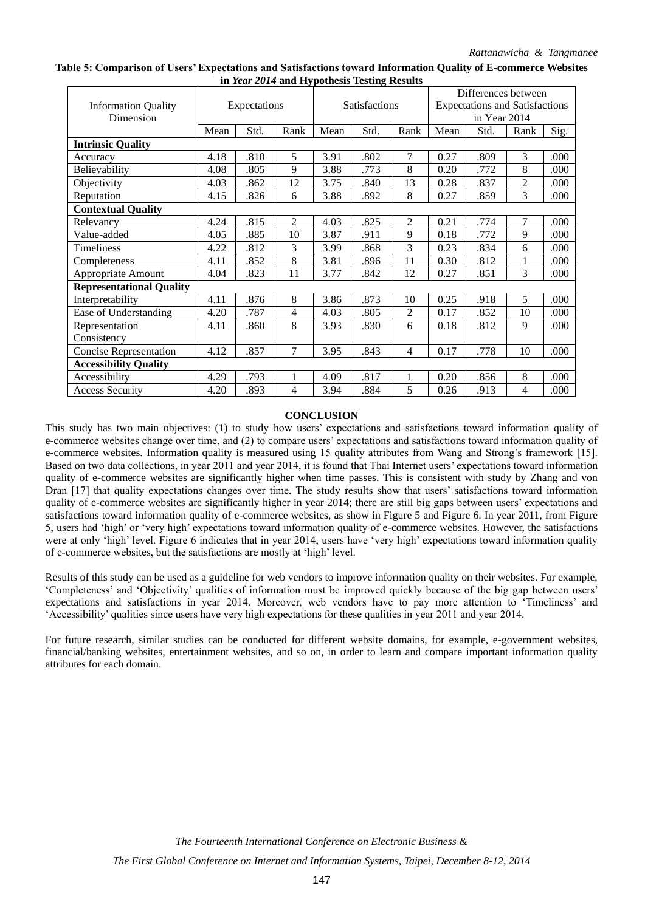**Table 5: Comparison of Users' Expectations and Satisfactions toward Information Quality of E-commerce Websites in** *Year 2014* **and Hypothesis Testing Results**

|                                 |      |              |                |      |                      |                | Differences between |                                       |                |      |  |
|---------------------------------|------|--------------|----------------|------|----------------------|----------------|---------------------|---------------------------------------|----------------|------|--|
| <b>Information Quality</b>      |      | Expectations |                |      | <b>Satisfactions</b> |                |                     | <b>Expectations and Satisfactions</b> |                |      |  |
| Dimension                       |      |              |                |      |                      |                |                     | in Year 2014                          |                |      |  |
|                                 | Mean | Std.         | Rank           | Mean | Std.                 | Rank           | Mean                | Std.                                  | Rank           | Sig. |  |
| <b>Intrinsic Quality</b>        |      |              |                |      |                      |                |                     |                                       |                |      |  |
| Accuracy                        | 4.18 | .810         | 5              | 3.91 | .802                 | 7              | 0.27                | .809                                  | 3              | .000 |  |
| Believability                   | 4.08 | .805         | 9              | 3.88 | .773                 | 8              | 0.20                | .772                                  | 8              | .000 |  |
| Objectivity                     | 4.03 | .862         | 12             | 3.75 | .840                 | 13             | 0.28                | .837                                  | $\overline{c}$ | .000 |  |
| Reputation                      | 4.15 | .826         | 6              | 3.88 | .892                 | 8              | 0.27                | .859                                  | 3              | .000 |  |
| <b>Contextual Quality</b>       |      |              |                |      |                      |                |                     |                                       |                |      |  |
| Relevancy                       | 4.24 | .815         | $\overline{2}$ | 4.03 | .825                 | $\overline{2}$ | 0.21                | .774                                  | 7              | .000 |  |
| Value-added                     | 4.05 | .885         | 10             | 3.87 | .911                 | 9              | 0.18                | .772                                  | 9              | .000 |  |
| Timeliness                      | 4.22 | .812         | 3              | 3.99 | .868                 | 3              | 0.23                | .834                                  | 6              | .000 |  |
| Completeness                    | 4.11 | .852         | 8              | 3.81 | .896                 | 11             | 0.30                | .812                                  | 1              | .000 |  |
| Appropriate Amount              | 4.04 | .823         | 11             | 3.77 | .842                 | 12             | 0.27                | .851                                  | 3              | .000 |  |
| <b>Representational Quality</b> |      |              |                |      |                      |                |                     |                                       |                |      |  |
| Interpretability                | 4.11 | .876         | 8              | 3.86 | .873                 | 10             | 0.25                | .918                                  | 5              | .000 |  |
| Ease of Understanding           | 4.20 | .787         | 4              | 4.03 | .805                 | 2              | 0.17                | .852                                  | 10             | .000 |  |
| Representation                  | 4.11 | .860         | 8              | 3.93 | .830                 | 6              | 0.18                | .812                                  | 9              | .000 |  |
| Consistency                     |      |              |                |      |                      |                |                     |                                       |                |      |  |
| <b>Concise Representation</b>   | 4.12 | .857         | 7              | 3.95 | .843                 | $\overline{4}$ | 0.17                | .778                                  | 10             | .000 |  |
| <b>Accessibility Quality</b>    |      |              |                |      |                      |                |                     |                                       |                |      |  |
| Accessibility                   | 4.29 | .793         | 1              | 4.09 | .817                 | 1              | 0.20                | .856                                  | 8              | .000 |  |
| <b>Access Security</b>          | 4.20 | .893         | 4              | 3.94 | .884                 | 5              | 0.26                | .913                                  | 4              | .000 |  |

### **CONCLUSION**

This study has two main objectives: (1) to study how users' expectations and satisfactions toward information quality of e-commerce websites change over time, and (2) to compare users' expectations and satisfactions toward information quality of e-commerce websites. Information quality is measured using 15 quality attributes from Wang and Strong's framework [15]. Based on two data collections, in year 2011 and year 2014, it is found that Thai Internet users' expectations toward information quality of e-commerce websites are significantly higher when time passes. This is consistent with study by Zhang and von Dran [17] that quality expectations changes over time. The study results show that users' satisfactions toward information quality of e-commerce websites are significantly higher in year 2014; there are still big gaps between users' expectations and satisfactions toward information quality of e-commerce websites, as show in Figure 5 and Figure 6. In year 2011, from Figure 5, users had 'high' or 'very high' expectations toward information quality of e-commerce websites. However, the satisfactions were at only 'high' level. Figure 6 indicates that in year 2014, users have 'very high' expectations toward information quality of e-commerce websites, but the satisfactions are mostly at 'high' level.

Results of this study can be used as a guideline for web vendors to improve information quality on their websites. For example, 'Completeness' and 'Objectivity' qualities of information must be improved quickly because of the big gap between users' expectations and satisfactions in year 2014. Moreover, web vendors have to pay more attention to 'Timeliness' and 'Accessibility' qualities since users have very high expectations for these qualities in year 2011 and year 2014.

For future research, similar studies can be conducted for different website domains, for example, e-government websites, financial/banking websites, entertainment websites, and so on, in order to learn and compare important information quality attributes for each domain.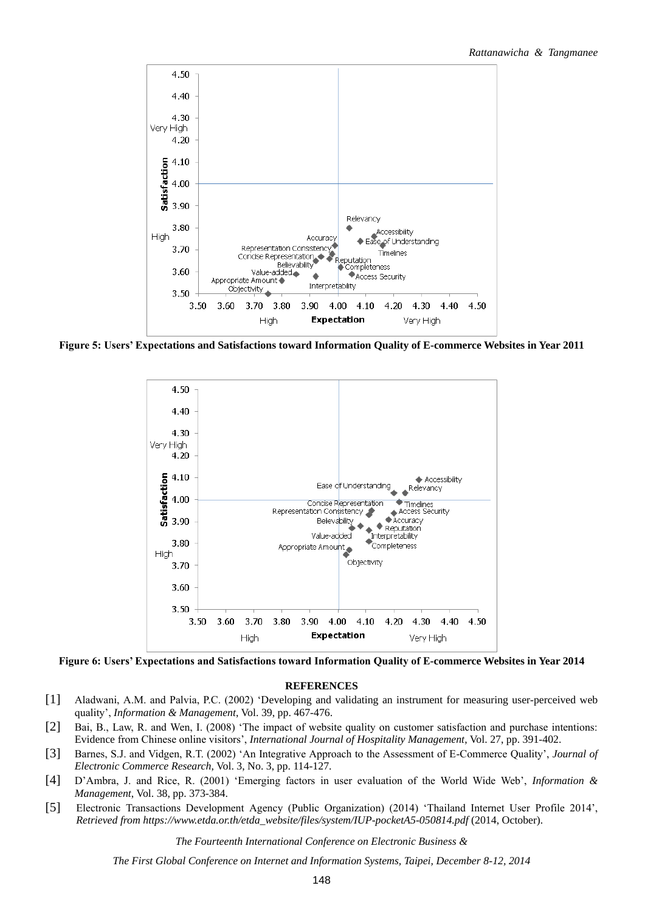

**Figure 5: Users' Expectations and Satisfactions toward Information Quality of E-commerce Websites in Year 2011**



**Figure 6: Users' Expectations and Satisfactions toward Information Quality of E-commerce Websites in Year 2014**

#### **REFERENCES**

- [1] Aladwani, A.M. and Palvia, P.C. (2002) 'Developing and validating an instrument for measuring user-perceived web quality', *Information & Management*, Vol. 39, pp. 467-476.
- [2] Bai, B., Law, R. and Wen, I. (2008) 'The impact of website quality on customer satisfaction and purchase intentions: Evidence from Chinese online visitors', *International Journal of Hospitality Management*, Vol. 27, pp. 391-402.
- [3] Barnes, S.J. and Vidgen, R.T. (2002) 'An Integrative Approach to the Assessment of E-Commerce Quality', *Journal of Electronic Commerce Research*, Vol. 3, No. 3, pp. 114-127.
- [4] D'Ambra, J. and Rice, R. (2001) 'Emerging factors in user evaluation of the World Wide Web', *Information & Management*, Vol. 38, pp. 373-384.
- [5] Electronic Transactions Development Agency (Public Organization) (2014) 'Thailand Internet User Profile 2014', *Retrieved from https://www.etda.or.th/etda\_website/files/system/IUP-pocketA5-050814.pdf* (2014, October).

*The Fourteenth International Conference on Electronic Business &*